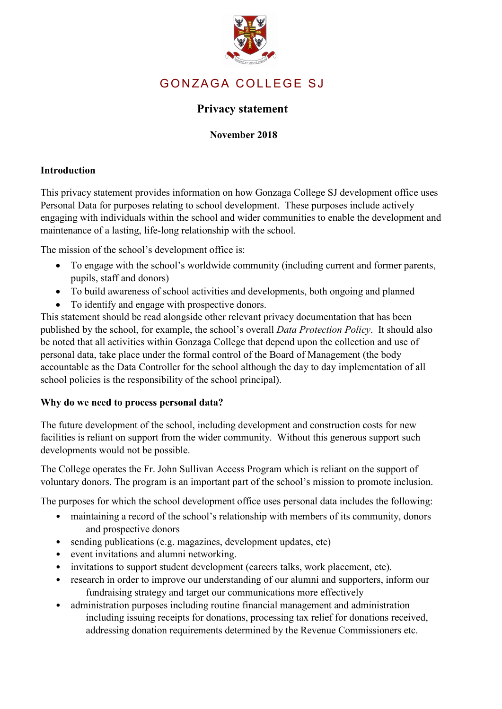

# GONZAGA COLLEGE SJ

# **Privacy statement**

### **November 2018**

#### **Introduction**

This privacy statement provides information on how Gonzaga College SJ development office uses Personal Data for purposes relating to school development. These purposes include actively engaging with individuals within the school and wider communities to enable the development and maintenance of a lasting, life-long relationship with the school.

The mission of the school's development office is:

- To engage with the school's worldwide community (including current and former parents, pupils, staff and donors)
- To build awareness of school activities and developments, both ongoing and planned
- To identify and engage with prospective donors.

This statement should be read alongside other relevant privacy documentation that has been published by the school, for example, the school's overall *Data Protection Policy*. It should also be noted that all activities within Gonzaga College that depend upon the collection and use of personal data, take place under the formal control of the Board of Management (the body accountable as the Data Controller for the school although the day to day implementation of all school policies is the responsibility of the school principal).

#### **Why do we need to process personal data?**

The future development of the school, including development and construction costs for new facilities is reliant on support from the wider community. Without this generous support such developments would not be possible.

The College operates the Fr. John Sullivan Access Program which is reliant on the support of voluntary donors. The program is an important part of the school's mission to promote inclusion.

The purposes for which the school development office uses personal data includes the following:

- maintaining a record of the school's relationship with members of its community, donors and prospective donors
- sending publications (e.g. magazines, development updates, etc)
- event invitations and alumni networking.
- invitations to support student development (careers talks, work placement, etc).
- research in order to improve our understanding of our alumni and supporters, inform our fundraising strategy and target our communications more effectively
- administration purposes including routine financial management and administration including issuing receipts for donations, processing tax relief for donations received, addressing donation requirements determined by the Revenue Commissioners etc.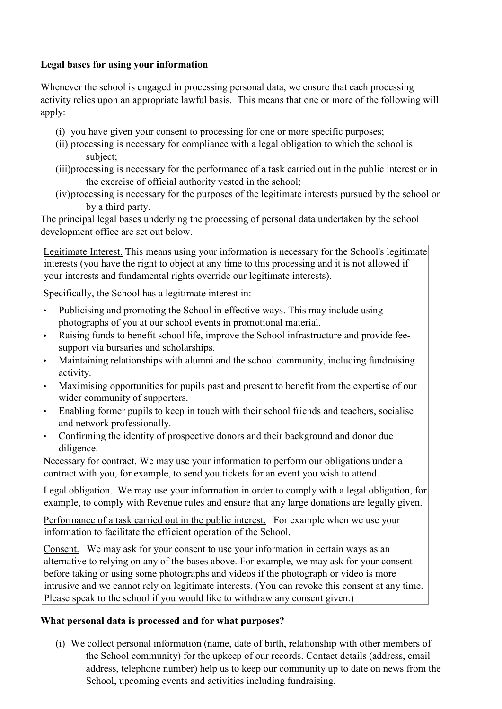#### **Legal bases for using your information**

Whenever the school is engaged in processing personal data, we ensure that each processing activity relies upon an appropriate lawful basis. This means that one or more of the following will apply:

- (i) you have given your consent to processing for one or more specific purposes;
- (ii) processing is necessary for compliance with a legal obligation to which the school is subject;
- (iii)processing is necessary for the performance of a task carried out in the public interest or in the exercise of official authority vested in the school;
- (iv)processing is necessary for the purposes of the legitimate interests pursued by the school or by a third party.

The principal legal bases underlying the processing of personal data undertaken by the school development office are set out below.

Legitimate Interest. This means using your information is necessary for the School's legitimate interests (you have the right to object at any time to this processing and it is not allowed if your interests and fundamental rights override our legitimate interests).

Specifically, the School has a legitimate interest in:

- Publicising and promoting the School in effective ways. This may include using photographs of you at our school events in promotional material.
- Raising funds to benefit school life, improve the School infrastructure and provide feesupport via bursaries and scholarships.
- Maintaining relationships with alumni and the school community, including fundraising activity.
- Maximising opportunities for pupils past and present to benefit from the expertise of our wider community of supporters.
- Enabling former pupils to keep in touch with their school friends and teachers, socialise and network professionally.
- Confirming the identity of prospective donors and their background and donor due diligence.

Necessary for contract. We may use your information to perform our obligations under a contract with you, for example, to send you tickets for an event you wish to attend.

Legal obligation. We may use your information in order to comply with a legal obligation, for example, to comply with Revenue rules and ensure that any large donations are legally given.

Performance of a task carried out in the public interest. For example when we use your information to facilitate the efficient operation of the School.

Consent. We may ask for your consent to use your information in certain ways as an alternative to relying on any of the bases above. For example, we may ask for your consent before taking or using some photographs and videos if the photograph or video is more intrusive and we cannot rely on legitimate interests. (You can revoke this consent at any time. Please speak to the school if you would like to withdraw any consent given.)

# **What personal data is processed and for what purposes?**

(i) We collect personal information (name, date of birth, relationship with other members of the School community) for the upkeep of our records. Contact details (address, email address, telephone number) help us to keep our community up to date on news from the School, upcoming events and activities including fundraising.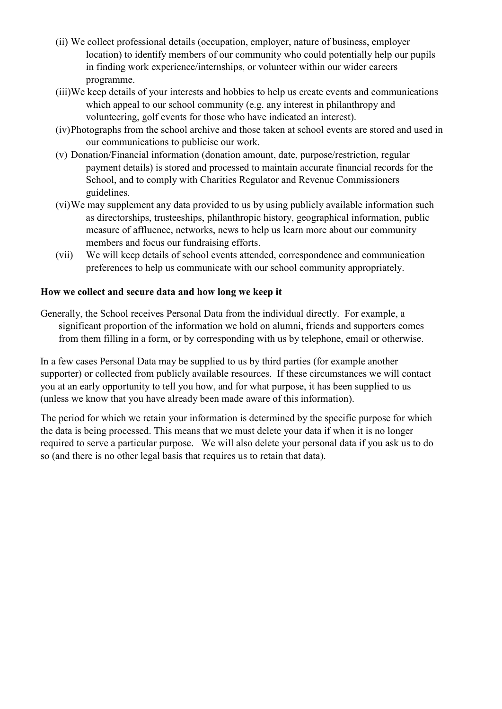- (ii) We collect professional details (occupation, employer, nature of business, employer location) to identify members of our community who could potentially help our pupils in finding work experience/internships, or volunteer within our wider careers programme.
- (iii)We keep details of your interests and hobbies to help us create events and communications which appeal to our school community (e.g. any interest in philanthropy and volunteering, golf events for those who have indicated an interest).
- (iv)Photographs from the school archive and those taken at school events are stored and used in our communications to publicise our work.
- (v) Donation/Financial information (donation amount, date, purpose/restriction, regular payment details) is stored and processed to maintain accurate financial records for the School, and to comply with Charities Regulator and Revenue Commissioners guidelines.
- (vi)We may supplement any data provided to us by using publicly available information such as directorships, trusteeships, philanthropic history, geographical information, public measure of affluence, networks, news to help us learn more about our community members and focus our fundraising efforts.
- (vii) We will keep details of school events attended, correspondence and communication preferences to help us communicate with our school community appropriately.

# **How we collect and secure data and how long we keep it**

Generally, the School receives Personal Data from the individual directly. For example, a significant proportion of the information we hold on alumni, friends and supporters comes from them filling in a form, or by corresponding with us by telephone, email or otherwise.

In a few cases Personal Data may be supplied to us by third parties (for example another supporter) or collected from publicly available resources. If these circumstances we will contact you at an early opportunity to tell you how, and for what purpose, it has been supplied to us (unless we know that you have already been made aware of this information).

The period for which we retain your information is determined by the specific purpose for which the data is being processed. This means that we must delete your data if when it is no longer required to serve a particular purpose. We will also delete your personal data if you ask us to do so (and there is no other legal basis that requires us to retain that data).